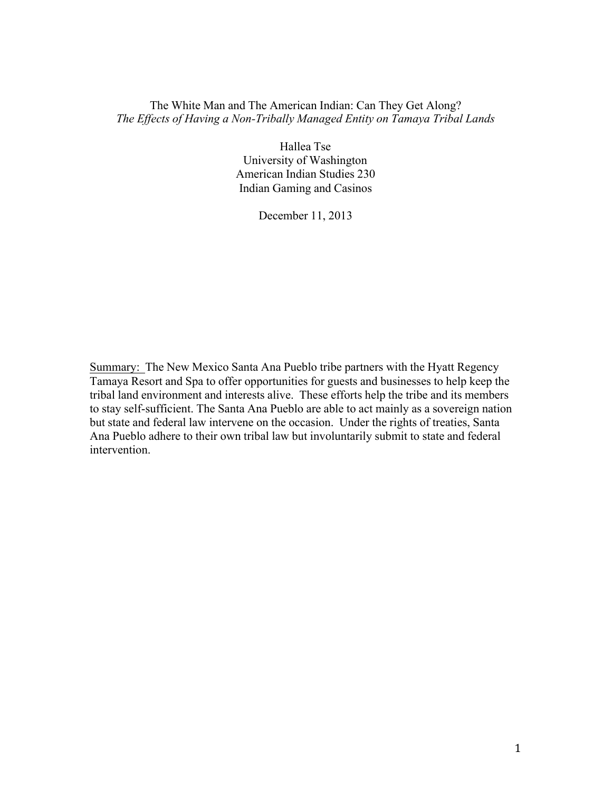## The White Man and The American Indian: Can They Get Along? *The Effects of Having a Non-Tribally Managed Entity on Tamaya Tribal Lands*

Hallea Tse University of Washington American Indian Studies 230 Indian Gaming and Casinos

December 11, 2013

Summary: The New Mexico Santa Ana Pueblo tribe partners with the Hyatt Regency Tamaya Resort and Spa to offer opportunities for guests and businesses to help keep the tribal land environment and interests alive. These efforts help the tribe and its members to stay self-sufficient. The Santa Ana Pueblo are able to act mainly as a sovereign nation but state and federal law intervene on the occasion. Under the rights of treaties, Santa Ana Pueblo adhere to their own tribal law but involuntarily submit to state and federal intervention.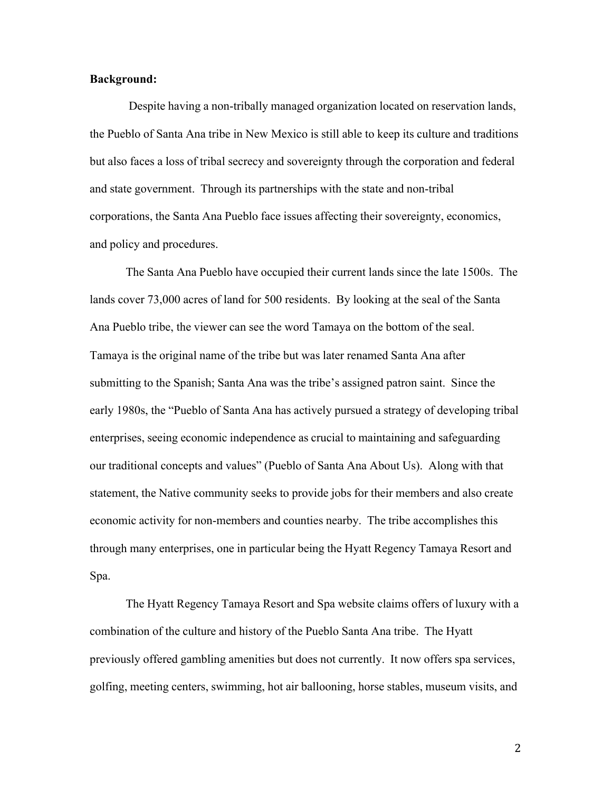## **Background:**

Despite having a non-tribally managed organization located on reservation lands, the Pueblo of Santa Ana tribe in New Mexico is still able to keep its culture and traditions but also faces a loss of tribal secrecy and sovereignty through the corporation and federal and state government. Through its partnerships with the state and non-tribal corporations, the Santa Ana Pueblo face issues affecting their sovereignty, economics, and policy and procedures.

The Santa Ana Pueblo have occupied their current lands since the late 1500s. The lands cover 73,000 acres of land for 500 residents. By looking at the seal of the Santa Ana Pueblo tribe, the viewer can see the word Tamaya on the bottom of the seal. Tamaya is the original name of the tribe but was later renamed Santa Ana after submitting to the Spanish; Santa Ana was the tribe's assigned patron saint. Since the early 1980s, the "Pueblo of Santa Ana has actively pursued a strategy of developing tribal enterprises, seeing economic independence as crucial to maintaining and safeguarding our traditional concepts and values" (Pueblo of Santa Ana About Us). Along with that statement, the Native community seeks to provide jobs for their members and also create economic activity for non-members and counties nearby. The tribe accomplishes this through many enterprises, one in particular being the Hyatt Regency Tamaya Resort and Spa.

The Hyatt Regency Tamaya Resort and Spa website claims offers of luxury with a combination of the culture and history of the Pueblo Santa Ana tribe. The Hyatt previously offered gambling amenities but does not currently. It now offers spa services, golfing, meeting centers, swimming, hot air ballooning, horse stables, museum visits, and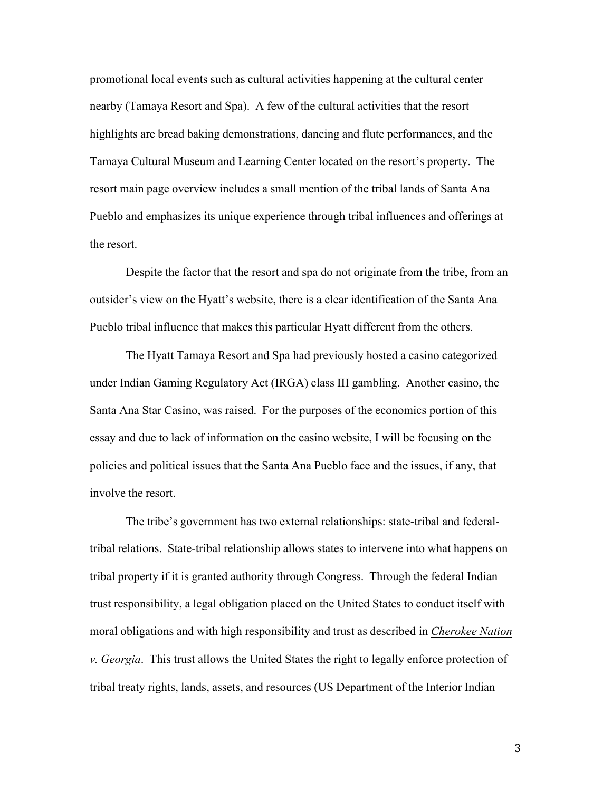promotional local events such as cultural activities happening at the cultural center nearby (Tamaya Resort and Spa). A few of the cultural activities that the resort highlights are bread baking demonstrations, dancing and flute performances, and the Tamaya Cultural Museum and Learning Center located on the resort's property. The resort main page overview includes a small mention of the tribal lands of Santa Ana Pueblo and emphasizes its unique experience through tribal influences and offerings at the resort.

Despite the factor that the resort and spa do not originate from the tribe, from an outsider's view on the Hyatt's website, there is a clear identification of the Santa Ana Pueblo tribal influence that makes this particular Hyatt different from the others.

The Hyatt Tamaya Resort and Spa had previously hosted a casino categorized under Indian Gaming Regulatory Act (IRGA) class III gambling. Another casino, the Santa Ana Star Casino, was raised. For the purposes of the economics portion of this essay and due to lack of information on the casino website, I will be focusing on the policies and political issues that the Santa Ana Pueblo face and the issues, if any, that involve the resort.

The tribe's government has two external relationships: state-tribal and federaltribal relations. State-tribal relationship allows states to intervene into what happens on tribal property if it is granted authority through Congress. Through the federal Indian trust responsibility, a legal obligation placed on the United States to conduct itself with moral obligations and with high responsibility and trust as described in *Cherokee Nation v. Georgia*. This trust allows the United States the right to legally enforce protection of tribal treaty rights, lands, assets, and resources (US Department of the Interior Indian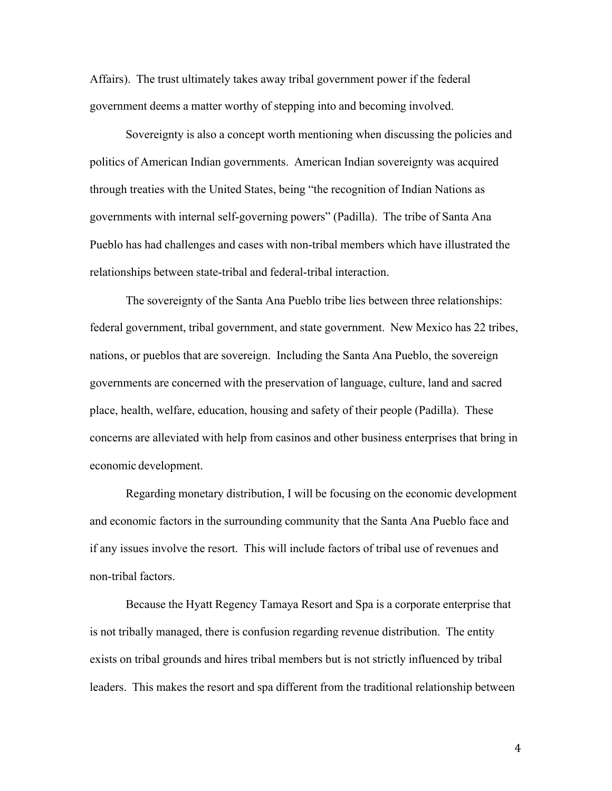Affairs). The trust ultimately takes away tribal government power if the federal government deems a matter worthy of stepping into and becoming involved.

Sovereignty is also a concept worth mentioning when discussing the policies and politics of American Indian governments. American Indian sovereignty was acquired through treaties with the United States, being "the recognition of Indian Nations as governments with internal self-governing powers" (Padilla). The tribe of Santa Ana Pueblo has had challenges and cases with non-tribal members which have illustrated the relationships between state-tribal and federal-tribal interaction.

The sovereignty of the Santa Ana Pueblo tribe lies between three relationships: federal government, tribal government, and state government. New Mexico has 22 tribes, nations, or pueblos that are sovereign. Including the Santa Ana Pueblo, the sovereign governments are concerned with the preservation of language, culture, land and sacred place, health, welfare, education, housing and safety of their people (Padilla). These concerns are alleviated with help from casinos and other business enterprises that bring in economic development.

Regarding monetary distribution, I will be focusing on the economic development and economic factors in the surrounding community that the Santa Ana Pueblo face and if any issues involve the resort. This will include factors of tribal use of revenues and non-tribal factors.

Because the Hyatt Regency Tamaya Resort and Spa is a corporate enterprise that is not tribally managed, there is confusion regarding revenue distribution. The entity exists on tribal grounds and hires tribal members but is not strictly influenced by tribal leaders. This makes the resort and spa different from the traditional relationship between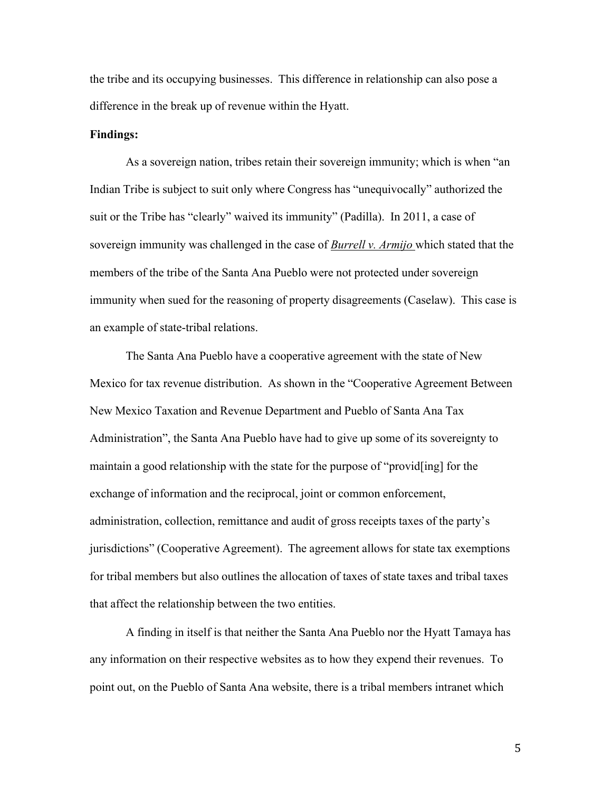the tribe and its occupying businesses. This difference in relationship can also pose a difference in the break up of revenue within the Hyatt.

## **Findings:**

As a sovereign nation, tribes retain their sovereign immunity; which is when "an Indian Tribe is subject to suit only where Congress has "unequivocally" authorized the suit or the Tribe has "clearly" waived its immunity" (Padilla). In 2011, a case of sovereign immunity was challenged in the case of *Burrell v. Armijo* which stated that the members of the tribe of the Santa Ana Pueblo were not protected under sovereign immunity when sued for the reasoning of property disagreements (Caselaw). This case is an example of state-tribal relations.

The Santa Ana Pueblo have a cooperative agreement with the state of New Mexico for tax revenue distribution. As shown in the "Cooperative Agreement Between New Mexico Taxation and Revenue Department and Pueblo of Santa Ana Tax Administration", the Santa Ana Pueblo have had to give up some of its sovereignty to maintain a good relationship with the state for the purpose of "provid[ing] for the exchange of information and the reciprocal, joint or common enforcement, administration, collection, remittance and audit of gross receipts taxes of the party's jurisdictions" (Cooperative Agreement). The agreement allows for state tax exemptions for tribal members but also outlines the allocation of taxes of state taxes and tribal taxes that affect the relationship between the two entities.

A finding in itself is that neither the Santa Ana Pueblo nor the Hyatt Tamaya has any information on their respective websites as to how they expend their revenues. To point out, on the Pueblo of Santa Ana website, there is a tribal members intranet which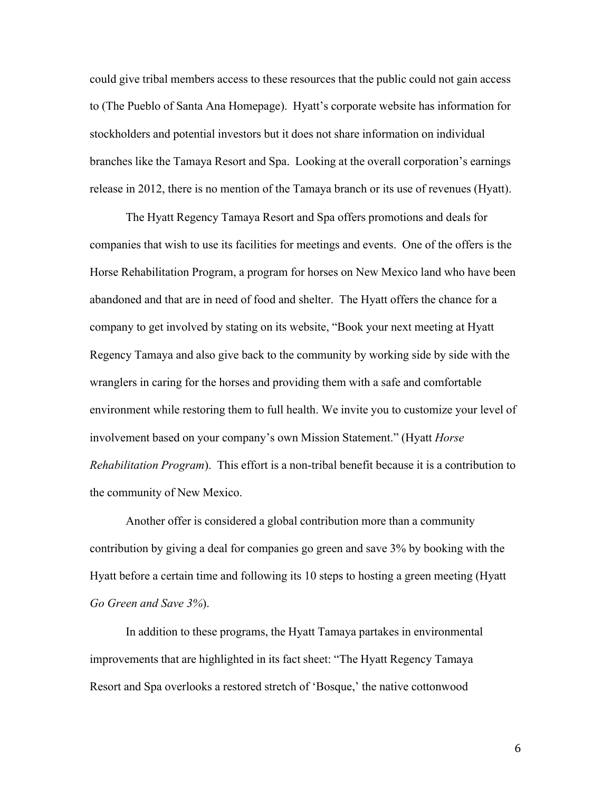could give tribal members access to these resources that the public could not gain access to (The Pueblo of Santa Ana Homepage). Hyatt's corporate website has information for stockholders and potential investors but it does not share information on individual branches like the Tamaya Resort and Spa. Looking at the overall corporation's earnings release in 2012, there is no mention of the Tamaya branch or its use of revenues (Hyatt).

The Hyatt Regency Tamaya Resort and Spa offers promotions and deals for companies that wish to use its facilities for meetings and events. One of the offers is the Horse Rehabilitation Program, a program for horses on New Mexico land who have been abandoned and that are in need of food and shelter. The Hyatt offers the chance for a company to get involved by stating on its website, "Book your next meeting at Hyatt Regency Tamaya and also give back to the community by working side by side with the wranglers in caring for the horses and providing them with a safe and comfortable environment while restoring them to full health. We invite you to customize your level of involvement based on your company's own Mission Statement." (Hyatt *Horse Rehabilitation Program*). This effort is a non-tribal benefit because it is a contribution to the community of New Mexico.

Another offer is considered a global contribution more than a community contribution by giving a deal for companies go green and save 3% by booking with the Hyatt before a certain time and following its 10 steps to hosting a green meeting (Hyatt *Go Green and Save 3%*).

In addition to these programs, the Hyatt Tamaya partakes in environmental improvements that are highlighted in its fact sheet: "The Hyatt Regency Tamaya Resort and Spa overlooks a restored stretch of 'Bosque,' the native cottonwood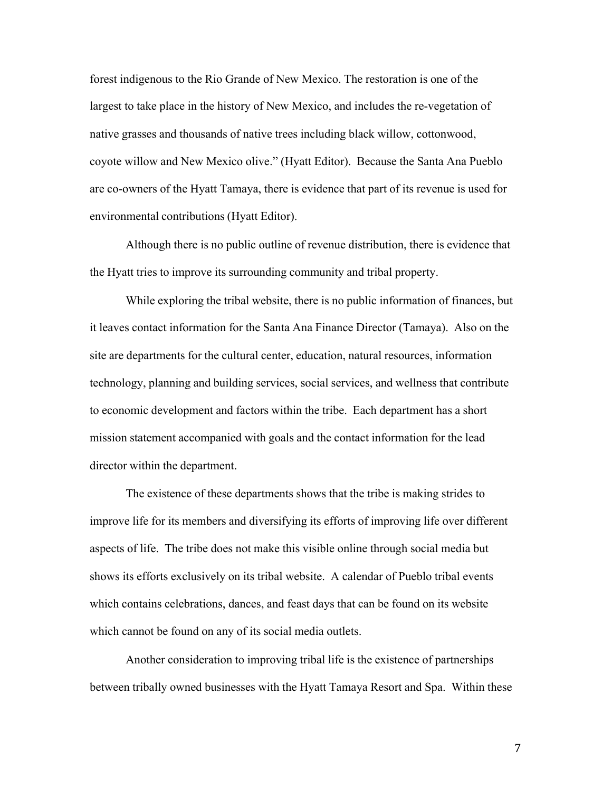forest indigenous to the Rio Grande of New Mexico. The restoration is one of the largest to take place in the history of New Mexico, and includes the re-vegetation of native grasses and thousands of native trees including black willow, cottonwood, coyote willow and New Mexico olive." (Hyatt Editor). Because the Santa Ana Pueblo are co-owners of the Hyatt Tamaya, there is evidence that part of its revenue is used for environmental contributions (Hyatt Editor).

Although there is no public outline of revenue distribution, there is evidence that the Hyatt tries to improve its surrounding community and tribal property.

While exploring the tribal website, there is no public information of finances, but it leaves contact information for the Santa Ana Finance Director (Tamaya). Also on the site are departments for the cultural center, education, natural resources, information technology, planning and building services, social services, and wellness that contribute to economic development and factors within the tribe. Each department has a short mission statement accompanied with goals and the contact information for the lead director within the department.

The existence of these departments shows that the tribe is making strides to improve life for its members and diversifying its efforts of improving life over different aspects of life. The tribe does not make this visible online through social media but shows its efforts exclusively on its tribal website. A calendar of Pueblo tribal events which contains celebrations, dances, and feast days that can be found on its website which cannot be found on any of its social media outlets.

Another consideration to improving tribal life is the existence of partnerships between tribally owned businesses with the Hyatt Tamaya Resort and Spa. Within these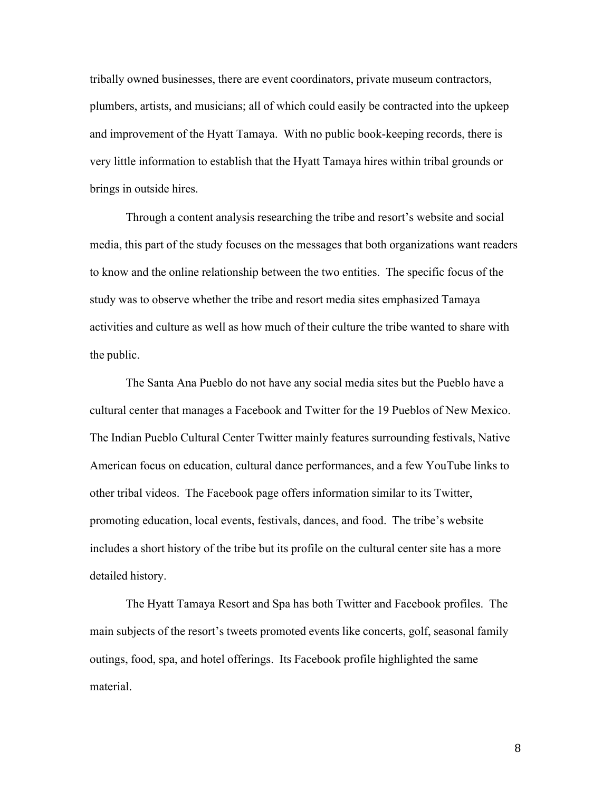tribally owned businesses, there are event coordinators, private museum contractors, plumbers, artists, and musicians; all of which could easily be contracted into the upkeep and improvement of the Hyatt Tamaya. With no public book-keeping records, there is very little information to establish that the Hyatt Tamaya hires within tribal grounds or brings in outside hires.

Through a content analysis researching the tribe and resort's website and social media, this part of the study focuses on the messages that both organizations want readers to know and the online relationship between the two entities. The specific focus of the study was to observe whether the tribe and resort media sites emphasized Tamaya activities and culture as well as how much of their culture the tribe wanted to share with the public.

The Santa Ana Pueblo do not have any social media sites but the Pueblo have a cultural center that manages a Facebook and Twitter for the 19 Pueblos of New Mexico. The Indian Pueblo Cultural Center Twitter mainly features surrounding festivals, Native American focus on education, cultural dance performances, and a few YouTube links to other tribal videos. The Facebook page offers information similar to its Twitter, promoting education, local events, festivals, dances, and food. The tribe's website includes a short history of the tribe but its profile on the cultural center site has a more detailed history.

The Hyatt Tamaya Resort and Spa has both Twitter and Facebook profiles. The main subjects of the resort's tweets promoted events like concerts, golf, seasonal family outings, food, spa, and hotel offerings. Its Facebook profile highlighted the same material.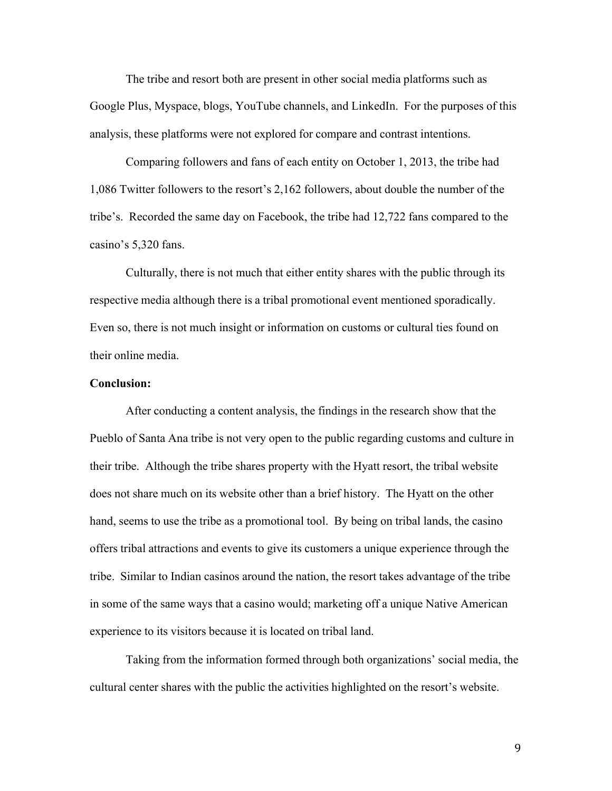The tribe and resort both are present in other social media platforms such as Google Plus, Myspace, blogs, YouTube channels, and LinkedIn. For the purposes of this analysis, these platforms were not explored for compare and contrast intentions.

Comparing followers and fans of each entity on October 1, 2013, the tribe had 1,086 Twitter followers to the resort's 2,162 followers, about double the number of the tribe's. Recorded the same day on Facebook, the tribe had 12,722 fans compared to the casino's 5,320 fans.

Culturally, there is not much that either entity shares with the public through its respective media although there is a tribal promotional event mentioned sporadically. Even so, there is not much insight or information on customs or cultural ties found on their online media.

## **Conclusion:**

After conducting a content analysis, the findings in the research show that the Pueblo of Santa Ana tribe is not very open to the public regarding customs and culture in their tribe. Although the tribe shares property with the Hyatt resort, the tribal website does not share much on its website other than a brief history. The Hyatt on the other hand, seems to use the tribe as a promotional tool. By being on tribal lands, the casino offers tribal attractions and events to give its customers a unique experience through the tribe. Similar to Indian casinos around the nation, the resort takes advantage of the tribe in some of the same ways that a casino would; marketing off a unique Native American experience to its visitors because it is located on tribal land.

Taking from the information formed through both organizations' social media, the cultural center shares with the public the activities highlighted on the resort's website.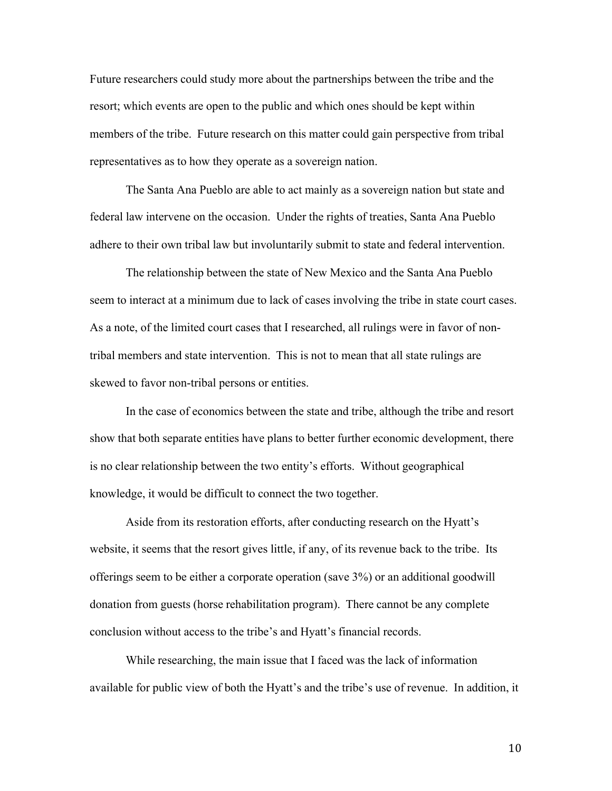Future researchers could study more about the partnerships between the tribe and the resort; which events are open to the public and which ones should be kept within members of the tribe. Future research on this matter could gain perspective from tribal representatives as to how they operate as a sovereign nation.

The Santa Ana Pueblo are able to act mainly as a sovereign nation but state and federal law intervene on the occasion. Under the rights of treaties, Santa Ana Pueblo adhere to their own tribal law but involuntarily submit to state and federal intervention.

The relationship between the state of New Mexico and the Santa Ana Pueblo seem to interact at a minimum due to lack of cases involving the tribe in state court cases. As a note, of the limited court cases that I researched, all rulings were in favor of nontribal members and state intervention. This is not to mean that all state rulings are skewed to favor non-tribal persons or entities.

In the case of economics between the state and tribe, although the tribe and resort show that both separate entities have plans to better further economic development, there is no clear relationship between the two entity's efforts. Without geographical knowledge, it would be difficult to connect the two together.

Aside from its restoration efforts, after conducting research on the Hyatt's website, it seems that the resort gives little, if any, of its revenue back to the tribe. Its offerings seem to be either a corporate operation (save 3%) or an additional goodwill donation from guests (horse rehabilitation program). There cannot be any complete conclusion without access to the tribe's and Hyatt's financial records.

While researching, the main issue that I faced was the lack of information available for public view of both the Hyatt's and the tribe's use of revenue. In addition, it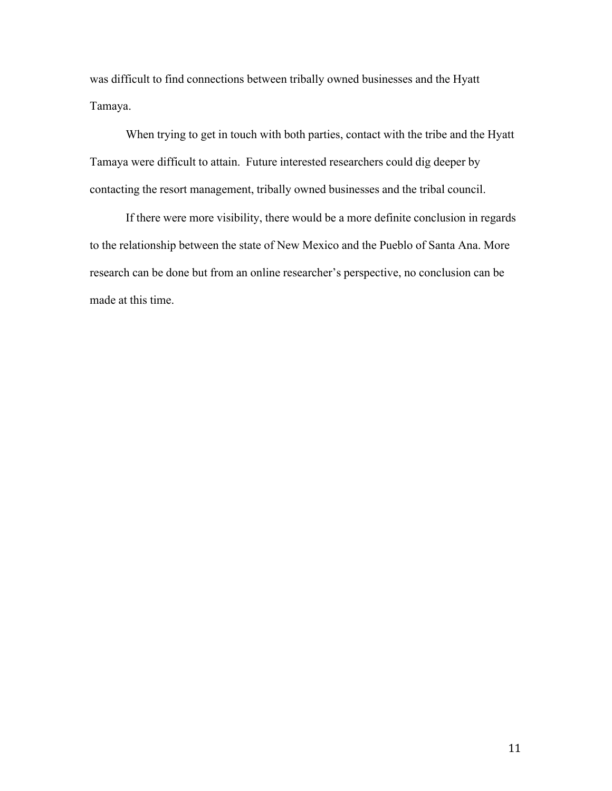was difficult to find connections between tribally owned businesses and the Hyatt Tamaya.

When trying to get in touch with both parties, contact with the tribe and the Hyatt Tamaya were difficult to attain. Future interested researchers could dig deeper by contacting the resort management, tribally owned businesses and the tribal council.

If there were more visibility, there would be a more definite conclusion in regards to the relationship between the state of New Mexico and the Pueblo of Santa Ana. More research can be done but from an online researcher's perspective, no conclusion can be made at this time.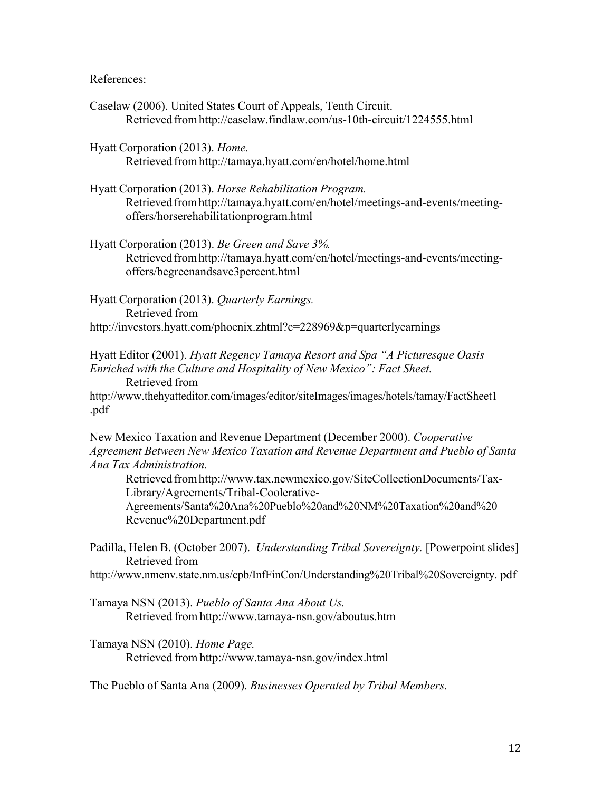References:

- Caselaw (2006). United States Court of Appeals, Tenth Circuit. Retrieved fromhttp://caselaw.findlaw.com/us-10th-circuit/1224555.html
- Hyatt Corporation (2013). *Home.* Retrieved fromhttp://tamaya.hyatt.com/en/hotel/home.html

Hyatt Corporation (2013). *Horse Rehabilitation Program.* Retrieved from http://tamaya.hyatt.com/en/hotel/meetings-and-events/meetingoffers/horserehabilitationprogram.html

Hyatt Corporation (2013). *Be Green and Save 3%.* Retrieved from http://tamaya.hyatt.com/en/hotel/meetings-and-events/meetingoffers/begreenandsave3percent.html

Hyatt Corporation (2013). *Quarterly Earnings.* Retrieved from http://investors.hyatt.com/phoenix.zhtml?c=228969&p=quarterlyearnings

Hyatt Editor (2001). *Hyatt Regency Tamaya Resort and Spa "A Picturesque Oasis Enriched with the Culture and Hospitality of New Mexico": Fact Sheet.* Retrieved from

http://www.thehyatteditor.com/images/editor/siteImages/images/hotels/tamay/FactSheet1 .pdf

New Mexico Taxation and Revenue Department (December 2000). *Cooperative Agreement Between New Mexico Taxation and Revenue Department and Pueblo of Santa Ana Tax Administration.*

Retrieved fromhttp://www.tax.newmexico.gov/SiteCollectionDocuments/Tax-Library/Agreements/Tribal-Coolerative-Agreements/Santa%20Ana%20Pueblo%20and%20NM%20Taxation%20and%20 Revenue%20Department.pdf

Padilla, Helen B. (October 2007). *Understanding Tribal Sovereignty.* [Powerpoint slides] Retrieved from

http://www.nmenv.state.nm.us/cpb/InfFinCon/Understanding%20Tribal%20Sovereignty. pdf

Tamaya NSN (2013). *Pueblo of Santa Ana About Us.* Retrieved from http://www.tamaya-nsn.gov/aboutus.htm

Tamaya NSN (2010). *Home Page.* Retrieved from http://www.tamaya-nsn.gov/index.html

The Pueblo of Santa Ana (2009). *Businesses Operated by Tribal Members.*